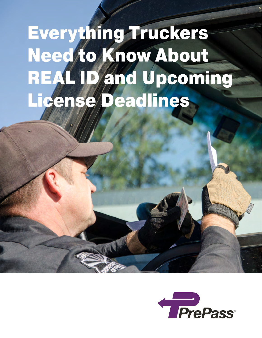# Everything Truckers Need to Know About REAL ID and Upcoming License Deadlines

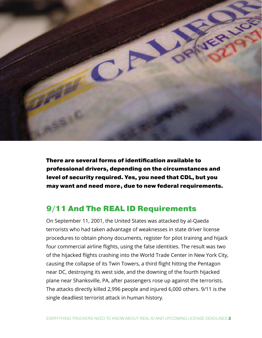

There are several forms of identification available to professional drivers, depending on the circumstances and level of security required. Yes, you need that CDL, but you may want and need more, due to new federal requirements.

#### 9/11 And The REAL ID Requirements

On September 11, 2001, the United States was attacked by al-Qaeda terrorists who had taken advantage of weaknesses in state driver license procedures to obtain phony documents, register for pilot training and hijack four commercial airline flights, using the false identities. The result was two of the hijacked flights crashing into the World Trade Center in New York City, causing the collapse of its Twin Towers, a third flight hitting the Pentagon near DC, destroying its west side, and the downing of the fourth hijacked plane near Shanksville, PA, after passengers rose up against the terrorists. The attacks directly killed 2,996 people and injured 6,000 others. 9/11 is the single deadliest terrorist attack in human history.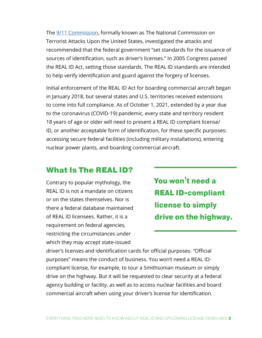The [9/11 Commission](https://www.9-11commission.gov/), formally known as The National Commission on Terrorist Attacks Upon the United States, investigated the attacks and recommended that the federal government "set standards for the issuance of sources of identification, such as driver's licenses." In 2005 Congress passed the REAL ID Act, setting those standards. The REAL ID standards are intended to help verify identification and guard against the forgery of licenses.

Initial enforcement of the REAL ID Act for boarding commercial aircraft began in January 2018, but several states and U.S. territories received extensions to come into full compliance. As of October 1, 2021, extended by a year due to the coronavirus (COVID-19) pandemic, every state and territory resident 18 years of age or older will need to present a REAL ID compliant license/ ID, or another acceptable form of identification, for these specific purposes: accessing secure federal facilities (including military installations), entering nuclear power plants, and boarding commercial aircraft.

#### What Is The REAL ID?

Contrary to popular mythology, the REAL ID is not a mandate on citizens or on the states themselves. Nor is there a federal database maintained of REAL ID licensees. Rather, it is a requirement on federal agencies, restricting the circumstances under which they may accept state-issued

You won't need a REAL ID-compliant license to simply drive on the highway.

driver's licenses and identification cards for official purposes. "Official purposes" means the conduct of business. You won't need a REAL IDcompliant license, for example, to tour a Smithsonian museum or simply drive on the highway. But it will be requested to clear security at a federal agency building or facility, as well as to access nuclear facilities and board commercial aircraft when using your driver's license for identification.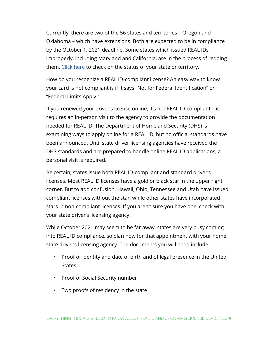Currently, there are two of the 56 states and territories – Oregon and Oklahoma – which have extensions. Both are expected to be in compliance by the October 1, 2021 deadline. Some states which issued REAL IDs improperly, including Maryland and California, are in the process of redoing them. [Click here](https://www.dhs.gov/real-id) to check on the status of your state or territory.

How do you recognize a REAL ID-compliant license? An easy way to know your card is not compliant is if it says "Not for Federal Identification" or "Federal Limits Apply."

If you renewed your driver's license online, it's not REAL ID-compliant – it requires an in-person visit to the agency to provide the documentation needed for REAL ID. The Department of Homeland Security (DHS) is examining ways to apply online for a REAL ID, but no official standards have been announced. Until state driver licensing agencies have received the DHS standards and are prepared to handle online REAL ID applications, a personal visit is required.

Be certain; states issue both REAL ID-compliant and standard driver's licenses. Most REAL ID licenses have a gold or black star in the upper right corner. But to add confusion, Hawaii, Ohio, Tennessee and Utah have issued compliant licenses without the star, while other states have incorporated stars in non-compliant licenses. If you aren't sure you have one, check with your state driver's licensing agency.

While October 2021 may seem to be far away, states are very busy coming into REAL ID compliance, so plan now for that appointment with your home state driver's licensing agency. The documents you will need include:

- Proof of identity and date of birth and of legal presence in the United **States**
- Proof of Social Security number
- Two proofs of residency in the state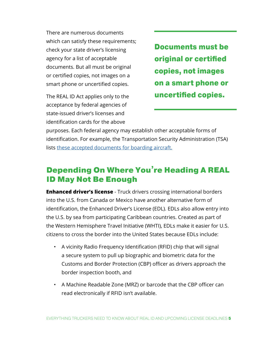There are numerous documents which can satisfy these requirements; check your state driver's licensing agency for a list of acceptable documents. But all must be original or certified copies, not images on a smart phone or uncertified copies.

The REAL ID Act applies only to the acceptance by federal agencies of state-issued driver's licenses and identification cards for the above

Documents must be original or certified copies, not images on a smart phone or uncertified copies.

purposes. Each federal agency may establish other acceptable forms of identification. For example, the Transportation Security Administration (TSA) lists [these accepted documents for boarding aircraft.](https://www.tsa.gov/travel/security-screening/identification)

### Depending On Where You're Heading A REAL ID May Not Be Enough

**Enhanced driver's license** - Truck drivers crossing international borders into the U.S. from Canada or Mexico have another alternative form of identification, the Enhanced Driver's License (EDL). EDLs also allow entry into the U.S. by sea from participating Caribbean countries. Created as part of the Western Hemisphere Travel Initiative (WHTI), EDLs make it easier for U.S. citizens to cross the border into the United States because EDLs include:

- A vicinity Radio Frequency Identification (RFID) chip that will signal a secure system to pull up biographic and biometric data for the Customs and Border Protection (CBP) officer as drivers approach the border inspection booth, and
- A Machine Readable Zone (MRZ) or barcode that the CBP officer can read electronically if RFID isn't available.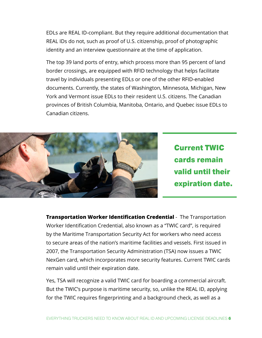EDLs are REAL ID-compliant. But they require additional documentation that REAL IDs do not, such as proof of U.S. citizenship, proof of photographic identity and an interview questionnaire at the time of application.

The top 39 land ports of entry, which process more than 95 percent of land border crossings, are equipped with RFID technology that helps facilitate travel by individuals presenting EDLs or one of the other RFID-enabled documents. Currently, the states of Washington, Minnesota, Michigan, New York and Vermont issue EDLs to their resident U.S. citizens. The Canadian provinces of British Columbia, Manitoba, Ontario, and Quebec issue EDLs to Canadian citizens.



Current TWIC cards remain valid until their expiration date.

**Transportation Worker Identification Credential** - The Transportation Worker Identification Credential, also known as a "TWIC card", is required by the Maritime Transportation Security Act for workers who need access to secure areas of the nation's maritime facilities and vessels. First issued in 2007, the Transportation Security Administration (TSA) now issues a TWIC NexGen card, which incorporates more security features. Current TWIC cards remain valid until their expiration date.

Yes, TSA will recognize a valid TWIC card for boarding a commercial aircraft. But the TWIC's purpose is maritime security, so, unlike the REAL ID, applying for the TWIC requires fingerprinting and a background check, as well as a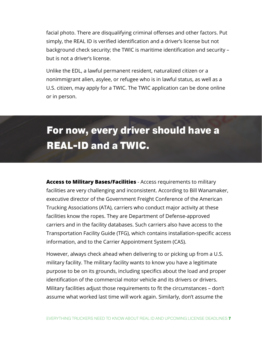facial photo. There are disqualifying criminal offenses and other factors. Put simply, the REAL ID is verified identification and a driver's license but not background check security; the TWIC is maritime identification and security – but is not a driver's license.

Unlike the EDL, a lawful permanent resident, naturalized citizen or a nonimmigrant alien, asylee, or refugee who is in lawful status, as well as a U.S. citizen, may apply for a TWIC. The TWIC application can be done online or in person.

## For now, every driver should have a REAL-ID and a TWIC.

**Access to Military Bases/Facilities** - Access requirements to military facilities are very challenging and inconsistent. According to Bill Wanamaker, executive director of the Government Freight Conference of the American Trucking Associations (ATA), carriers who conduct major activity at these facilities know the ropes. They are Department of Defense-approved carriers and in the facility databases. Such carriers also have access to the Transportation Facility Guide (TFG), which contains installation-specific access information, and to the Carrier Appointment System (CAS).

However, always check ahead when delivering to or picking up from a U.S. military facility. The military facility wants to know you have a legitimate purpose to be on its grounds, including specifics about the load and proper identification of the commercial motor vehicle and its drivers or drivers. Military facilities adjust those requirements to fit the circumstances – don't assume what worked last time will work again. Similarly, don't assume the